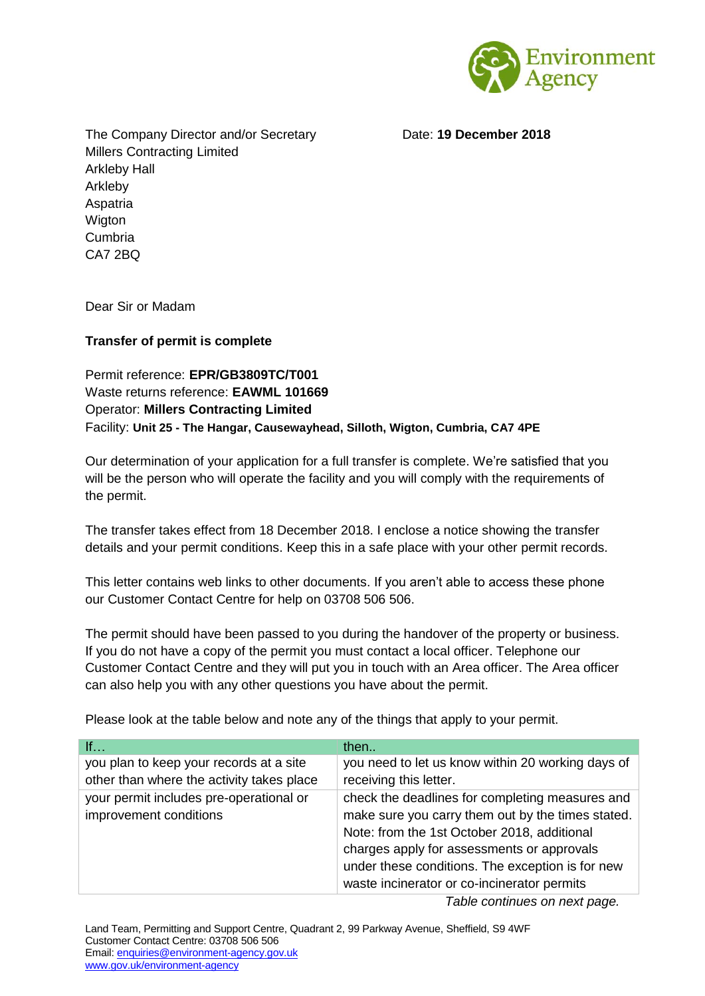

Date: **19 December 2018**

The Company Director and/or Secretary Millers Contracting Limited Arkleby Hall Arkleby Aspatria **Wigton** Cumbria CA7 2BQ

Dear Sir or Madam

## **Transfer of permit is complete**

Permit reference: **EPR/GB3809TC/T001** Waste returns reference: **EAWML 101669** Operator: **Millers Contracting Limited** Facility: **Unit 25 - The Hangar, Causewayhead, Silloth, Wigton, Cumbria, CA7 4PE**

Our determination of your application for a full transfer is complete. We're satisfied that you will be the person who will operate the facility and you will comply with the requirements of the permit.

The transfer takes effect from 18 December 2018. I enclose a notice showing the transfer details and your permit conditions. Keep this in a safe place with your other permit records.

This letter contains web links to other documents. If you aren't able to access these phone our Customer Contact Centre for help on 03708 506 506.

The permit should have been passed to you during the handover of the property or business. If you do not have a copy of the permit you must contact a local officer. Telephone our Customer Contact Centre and they will put you in touch with an Area officer. The Area officer can also help you with any other questions you have about the permit.

Please look at the table below and note any of the things that apply to your permit.

| If                                                                | then                                                                                                                                                |
|-------------------------------------------------------------------|-----------------------------------------------------------------------------------------------------------------------------------------------------|
| you plan to keep your records at a site                           | you need to let us know within 20 working days of                                                                                                   |
| other than where the activity takes place                         | receiving this letter.                                                                                                                              |
| your permit includes pre-operational or<br>improvement conditions | check the deadlines for completing measures and<br>make sure you carry them out by the times stated.<br>Note: from the 1st October 2018, additional |
|                                                                   | charges apply for assessments or approvals                                                                                                          |
|                                                                   | under these conditions. The exception is for new                                                                                                    |
|                                                                   | waste incinerator or co-incinerator permits                                                                                                         |
|                                                                   |                                                                                                                                                     |

*Table continues on next page.*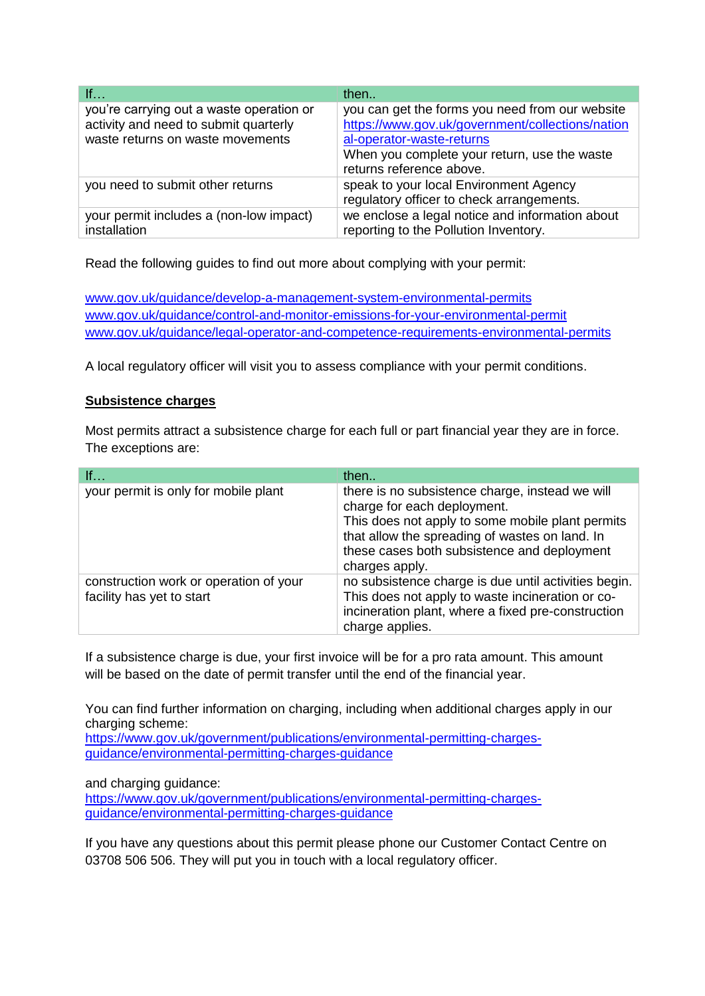| If                                                                                                                    | then                                                                                                                                                                                                         |
|-----------------------------------------------------------------------------------------------------------------------|--------------------------------------------------------------------------------------------------------------------------------------------------------------------------------------------------------------|
| you're carrying out a waste operation or<br>activity and need to submit quarterly<br>waste returns on waste movements | you can get the forms you need from our website<br>https://www.gov.uk/government/collections/nation<br>al-operator-waste-returns<br>When you complete your return, use the waste<br>returns reference above. |
| you need to submit other returns                                                                                      | speak to your local Environment Agency<br>regulatory officer to check arrangements.                                                                                                                          |
| your permit includes a (non-low impact)<br>installation                                                               | we enclose a legal notice and information about<br>reporting to the Pollution Inventory.                                                                                                                     |

Read the following guides to find out more about complying with your permit:

[www.gov.uk/guidance/develop-a-management-system-environmental-permits](http://www.gov.uk/guidance/develop-a-management-system-environmental-permits) [www.gov.uk/guidance/control-and-monitor-emissions-for-your-environmental-permit](http://www.gov.uk/guidance/control-and-monitor-emissions-for-your-environmental-permit) [www.gov.uk/guidance/legal-operator-and-competence-requirements-environmental-permits](http://www.gov.uk/guidance/legal-operator-and-competence-requirements-environmental-permits)

A local regulatory officer will visit you to assess compliance with your permit conditions.

## **Subsistence charges**

Most permits attract a subsistence charge for each full or part financial year they are in force. The exceptions are:

| If                                                                  | then                                                                                                                                                                                                                                                  |
|---------------------------------------------------------------------|-------------------------------------------------------------------------------------------------------------------------------------------------------------------------------------------------------------------------------------------------------|
| your permit is only for mobile plant                                | there is no subsistence charge, instead we will<br>charge for each deployment.<br>This does not apply to some mobile plant permits<br>that allow the spreading of wastes on land. In<br>these cases both subsistence and deployment<br>charges apply. |
| construction work or operation of your<br>facility has yet to start | no subsistence charge is due until activities begin.<br>This does not apply to waste incineration or co-<br>incineration plant, where a fixed pre-construction<br>charge applies.                                                                     |

If a subsistence charge is due, your first invoice will be for a pro rata amount. This amount will be based on the date of permit transfer until the end of the financial year.

You can find further information on charging, including when additional charges apply in our charging scheme:

[https://www.gov.uk/government/publications/environmental-permitting-charges](https://www.gov.uk/government/publications/environmental-permitting-charges-guidance/environmental-permitting-charges-guidance)[guidance/environmental-permitting-charges-guidance](https://www.gov.uk/government/publications/environmental-permitting-charges-guidance/environmental-permitting-charges-guidance)

and charging guidance:

[https://www.gov.uk/government/publications/environmental-permitting-charges](https://www.gov.uk/government/publications/environmental-permitting-charges-guidance/environmental-permitting-charges-guidance)[guidance/environmental-permitting-charges-guidance](https://www.gov.uk/government/publications/environmental-permitting-charges-guidance/environmental-permitting-charges-guidance)

If you have any questions about this permit please phone our Customer Contact Centre on 03708 506 506. They will put you in touch with a local regulatory officer.